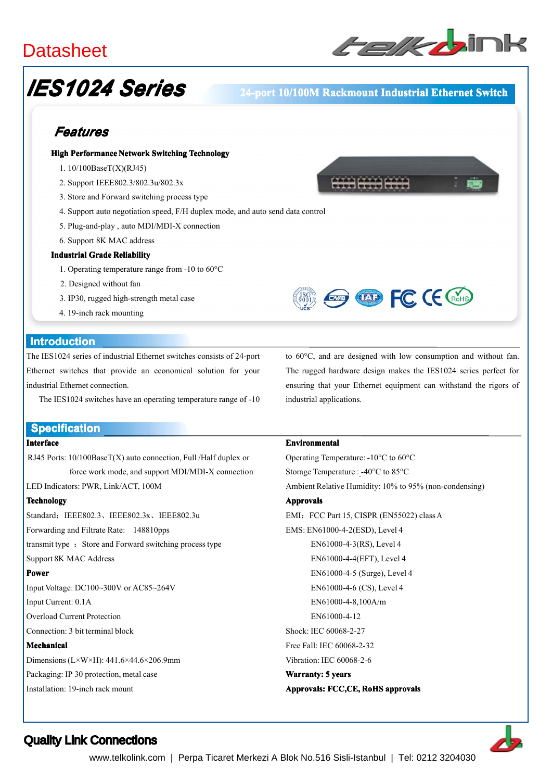# **Datasheet**



# *IES1024 Series*

#### **24-port 24-port 10/100M 10/100M Rackmount Industrial Industrial Ethernet Switch**

## *Features*

#### **High Performance Network Network Switching Switching Technology Technology**

- 1. 10/100BaseT(X)(RJ45)
- 2. Support IEEE802.3/802.3u/802.3x
- 3. Store and Forward switching process type
- 4. Support auto negotiation speed, F/H duplex mode, and auto send data control
- 5. Plug-and-play , auto MDI/MDI-X connection
- 6. Support 8K MAC address

#### **Industrial Industrial Grade Reliability Reliability**

- 1. Operating temperature range from -10 to 60°C
- 2. Designed without fan
- 3. IP30, rugged high-strength metal case
- 4. 19-inch rack mounting

#### **Introduction Introduction**

The IES1024 series of industrial Ethernet switches consists of 24-port Ethernet switches that provide an economical solution for your industrial Ethernet connection.

The IES1024 switches have an operating temperature range of -10

#### **Specification Specification**

#### **Interface**

RJ45 Ports:  $10/100BaseT(X)$  auto connection, Full /Half duplex or force work mode, and suppor<sup>t</sup> MDI/MDI-X connection

LED Indicators: PWR, Link/ACT, 100M

#### **Technology**

Standard: IEEE802.3、IEEE802.3x、IEEE802.3u Forwarding and Filtrate Rate: 148810pps transmit type : Store and Forward switching process type Support 8K MAC Address **Power** Input Voltage: DC100~300V or AC85~264V

Input Current: 0.1A

Overload Current Protection

Connection: 3 bit terminal block

#### **Mechanical**

Dimensions(L×W×H): 441.6×44.6×206.9mm

Packaging: IP 30 protection, metal case

Installation: 19-inch rack mount

to 60°C, and are designed with low consumption and without fan. The rugged hardware design makes the IES1024 series perfect for ensuring that your Ethernet equipment can withstand the rigors of industrial applications.

**EXAMPLE CE (ROHS)** 

#### **Environmental**

Operating Temperature: -10°C to 60°C Storage Temperature : -40°C to 85°C Ambient Relative Humidity: 10% to 95% (non-condensing) **Approvals** EMI: FCC Part 15, CISPR (EN55022) class A EMS: EN61000-4-2(ESD), Level 4 EN61000-4-3(RS), Level 4 EN61000-4-4(EFT), Level 4 EN61000-4-5 (Surge), Level 4 EN61000-4-6 (CS), Level 4 EN61000-4-8,100A/m EN61000-4-12 Shock: IEC 60068-2-27 Free Fall: IEC 60068-2-32 Vibration: IEC 60068-2-6 **Warranty: 5 years Approvals: Approvals: FCC,CE, FCC,CE, RoHS approvals**



### Quality Link Connections

www.telkolink.com | Perpa Ticaret Merkezi A Blok No.516 Sisli-Istanbul | Tel: 0212 3204030